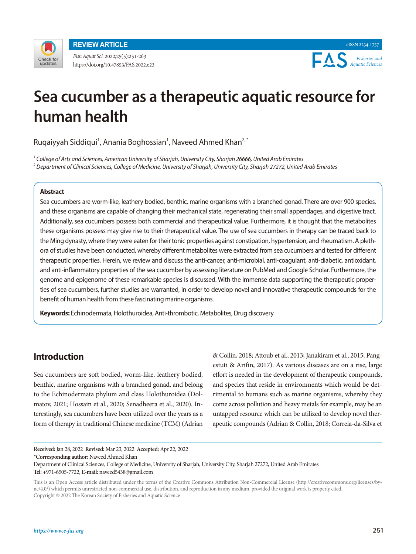

**REVIEW ARTICLE**

*Fish Aquat Sci.* 2022;25(5):251-263 https://doi.org/10.47853/FAS.2022.e23



# **Sea cucumber as a therapeutic aquatic resource for human health**

Ruqaiyyah Siddiqui<sup>1</sup>, Anania Boghossian<sup>1</sup>, Naveed Ahmed Khan<sup>2,\*</sup>

*1 College of Arts and Sciences, American University of Sharjah, University City, Sharjah 26666, United Arab Emirates 2 Department of Clinical Sciences, College of Medicine, University of Sharjah, University City, Sharjah 27272, United Arab Emirates*

# **Abstract**

Sea cucumbers are worm-like, leathery bodied, benthic, marine organisms with a branched gonad. There are over 900 species, and these organisms are capable of changing their mechanical state, regenerating their small appendages, and digestive tract. Additionally, sea cucumbers possess both commercial and therapeutical value. Furthermore, it is thought that the metabolites these organisms possess may give rise to their therapeutical value. The use of sea cucumbers in therapy can be traced back to the Ming dynasty, where they were eaten for their tonic properties against constipation, hypertension, and rheumatism. A plethora of studies have been conducted, whereby different metabolites were extracted from sea cucumbers and tested for different therapeutic properties. Herein, we review and discuss the anti-cancer, anti-microbial, anti-coagulant, anti-diabetic, antioxidant, and anti-inflammatory properties of the sea cucumber by assessing literature on PubMed and Google Scholar. Furthermore, the genome and epigenome of these remarkable species is discussed. With the immense data supporting the therapeutic properties of sea cucumbers, further studies are warranted, in order to develop novel and innovative therapeutic compounds for the benefit of human health from these fascinating marine organisms.

**Keywords:** Echinodermata, Holothuroidea, Anti-thrombotic, Metabolites, Drug discovery

# **Introduction**

Sea cucumbers are soft bodied, worm-like, leathery bodied, benthic, marine organisms with a branched gonad, and belong to the Echinodermata phylum and class Holothuroidea (Dolmatov, 2021; Hossain et al., 2020; Senadheera et al., 2020). Interestingly, sea cucumbers have been utilized over the years as a form of therapy in traditional Chinese medicine (TCM) (Adrian

& Collin, 2018; Attoub et al., 2013; Janakiram et al., 2015; Pangestuti & Arifin, 2017). As various diseases are on a rise, large effort is needed in the development of therapeutic compounds, and species that reside in environments which would be detrimental to humans such as marine organisms, whereby they come across pollution and heavy metals for example, may be an untapped resource which can be utilized to develop novel therapeutic compounds (Adrian & Collin, 2018; Correia-da-Silva et

**Received:** Jan 28, 2022 **Revised:** Mar 23, 2022 **Accepted:** Apr 22, 2022 **\*Corresponding author:** Naveed Ahmed Khan

Department of Clinical Sciences, College of Medicine, University of Sharjah, University City, Sharjah 27272, United Arab Emirates **Tel:** +971-6505-7722, **E-mail:** naveed5438@gmail.com

This is an Open Access article distributed under the terms of the Creative Commons Attribution Non-Commercial License (http://creativecommons.org/licenses/bync/4.0/) which permits unrestricted non-commercial use, distribution, and reproduction in any medium, provided the original work is properly cited. Copyright © 2022 The Korean Society of Fisheries and Aquatic Science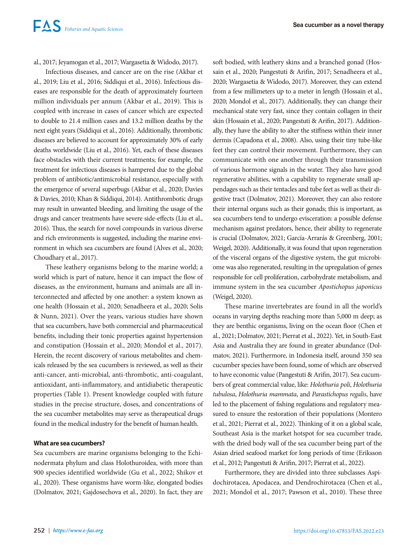al., 2017; Jeyamogan et al., 2017; Wargasetia & Widodo, 2017).

Infectious diseases, and cancer are on the rise (Akbar et al., 2019; Liu et al., 2016; Siddiqui et al., 2016). Infectious diseases are responsible for the death of approximately fourteen million individuals per annum (Akbar et al., 2019). This is coupled with increase in cases of cancer which are expected to double to 21.4 million cases and 13.2 million deaths by the next eight years (Siddiqui et al., 2016). Additionally, thrombotic diseases are believed to account for approximately 30% of early deaths worldwide (Liu et al., 2016). Yet, each of these diseases face obstacles with their current treatments; for example, the treatment for infectious diseases is hampered due to the global problem of antibiotic/antimicrobial resistance, especially with the emergence of several superbugs (Akbar et al., 2020; Davies & Davies, 2010; Khan & Siddiqui, 2014). Antithrombotic drugs may result in unwanted bleeding, and limiting the usage of the drugs and cancer treatments have severe side-effects (Liu et al., 2016). Thus, the search for novel compounds in various diverse and rich environments is suggested, including the marine environment in which sea cucumbers are found (Alves et al., 2020; Choudhary et al., 2017).

These leathery organisms belong to the marine world; a world which is part of nature, hence it can impact the flow of diseases, as the environment, humans and animals are all interconnected and affected by one another: a system known as one health (Hossain et al., 2020; Senadheera et al., 2020; Solis & Nunn, 2021). Over the years, various studies have shown that sea cucumbers, have both commercial and pharmaceutical benefits, including their tonic properties against hypertension and constipation (Hossain et al., 2020; Mondol et al., 2017). Herein, the recent discovery of various metabolites and chemicals released by the sea cucumbers is reviewed, as well as their anti-cancer, anti-microbial, anti-thrombotic, anti-coagulant, antioxidant, anti-inflammatory, and antidiabetic therapeutic properties (Table 1). Present knowledge coupled with future studies in the precise structure, doses, and concentrations of the sea cucumber metabolites may serve as therapeutical drugs found in the medical industry for the benefit of human health.

# **What are sea cucumbers?**

Sea cucumbers are marine organisms belonging to the Echinodermata phylum and class Holothuroidea, with more than 900 species identified worldwide (Gu et al., 2022; Shikov et al., 2020). These organisms have worm-like, elongated bodies (Dolmatov, 2021; Gajdosechova et al., 2020). In fact, they are

soft bodied, with leathery skins and a branched gonad (Hossain et al., 2020; Pangestuti & Arifin, 2017; Senadheera et al., 2020; Wargasetia & Widodo, 2017). Moreover, they can extend from a few millimeters up to a meter in length (Hossain et al., 2020; Mondol et al., 2017). Additionally, they can change their mechanical state very fast, since they contain collagen in their skin (Hossain et al., 2020; Pangestuti & Arifin, 2017). Additionally, they have the ability to alter the stiffness within their inner dermis (Capadona et al., 2008). Also, using their tiny tube-like feet they can control their movement. Furthermore, they can communicate with one another through their transmission of various hormone signals in the water. They also have good regenerative abilities, with a capability to regenerate small appendages such as their tentacles and tube feet as well as their digestive tract (Dolmatov, 2021). Moreover, they can also restore their internal organs such as their gonads; this is important, as sea cucumbers tend to undergo evisceration: a possible defense mechanism against predators, hence, their ability to regenerate is crucial (Dolmatov, 2021; García-Arrarás & Greenberg, 2001; Weigel, 2020). Additionally, it was found that upon regeneration of the visceral organs of the digestive system, the gut microbiome was also regenerated, resulting in the upregulation of genes responsible for cell proliferation, carbohydrate metabolism, and immune system in the sea cucumber *Apostichopus japonicus*  (Weigel, 2020).

These marine invertebrates are found in all the world's oceans in varying depths reaching more than 5,000 m deep; as they are benthic organisms, living on the ocean floor (Chen et al., 2021; Dolmatov, 2021; Pierrat et al., 2022). Yet, in South-East Asia and Australia they are found in greater abundance (Dolmatov, 2021). Furthermore, in Indonesia itself, around 350 sea cucumber species have been found, some of which are observed to have economic value (Pangestuti & Arifin, 2017). Sea cucumbers of great commercial value, like: *Holothuria poli*, *Holothuria tubulosa*, *Holothuria mammata*, and *Parastichopus regalis*, have led to the placement of fishing regulations and regulatory measured to ensure the restoration of their populations (Montero et al., 2021; Pierrat et al., 2022). Thinking of it on a global scale, Southeast Asia is the market hotspot for sea cucumber trade, with the dried body wall of the sea cucumber being part of the Asian dried seafood market for long periods of time (Eriksson et al., 2012; Pangestuti & Arifin, 2017; Pierrat et al., 2022).

Furthermore, they are divided into three subclasses Aspidochirotacea, Apodacea, and Dendrochirotacea (Chen et al., 2021; Mondol et al., 2017; Pawson et al., 2010). These three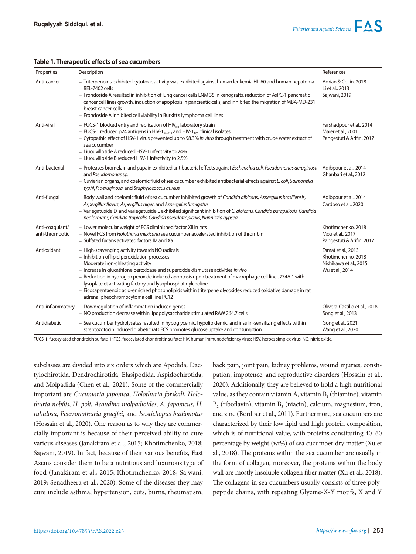# **Table 1. Therapeutic effects of sea cucumbers**

| Properties                         | Description                                                                                                                                                                                                                                                                                                                                                                                                                                                                                                                                                 | References                                                                            |
|------------------------------------|-------------------------------------------------------------------------------------------------------------------------------------------------------------------------------------------------------------------------------------------------------------------------------------------------------------------------------------------------------------------------------------------------------------------------------------------------------------------------------------------------------------------------------------------------------------|---------------------------------------------------------------------------------------|
| Anti-cancer                        | - Triterpenoids exhibited cytotoxic activity was exhibited against human leukemia HL-60 and human hepatoma<br>BEL-7402 cells<br>- Frondoside A resulted in inhibition of lung cancer cells LNM 35 in xenografts, reduction of AsPC-1 pancreatic<br>cancer cell lines growth, induction of apoptosis in pancreatic cells, and inhibited the migration of MBA-MD-231<br>breast cancer cells<br>- Frondoside A inhibited cell viability in Burkitt's lymphoma cell lines                                                                                       | Adrian & Collin, 2018<br>Li et al., 2013<br>Sajwani, 2019                             |
| Anti-viral                         | $-$ FUCS-1 blocked entry and replication of HIV $_{\text{HIR}}$ laboratory strain<br>$-$ FUCS-1 reduced p24 antigens in HIV-1 <sub>KM018</sub> and HIV-1 <sub>TC2</sub> clinical isolates<br>- Cytopathic effect of HSV-1 virus prevented up to 98.3% in vitro through treatment with crude water extract of<br>sea cucumber<br>- Liuouvilloside A reduced HSV-1 infectivity to 24%<br>- Liuouvilloside B reduced HSV-1 infectivity to 2.5%                                                                                                                 | Farshadpour et al., 2014<br>Maier et al., 2001<br>Pangestuti & Arifin, 2017           |
| Anti-bacterial                     | - Proteases bromelain and papain exhibited antibacterial effects against Escherichia coli, Pseudomonas aeruginosa,<br>and Pseudomonas sp.<br>- Cuvierian organs, and coelomic fluid of sea cucumber exhibited antibacterial effects against E. coli, Salmonella<br>typhi, P. aeruginosa, and Staphylococcus aureus                                                                                                                                                                                                                                          | Adibpour et al., 2014<br>Ghanbari et al., 2012                                        |
| Anti-fungal                        | - Body wall and coelomic fluid of sea cucumber inhibited growth of Candida albicans, Aspergillus brasiliensis,<br>Aspergillus flavus, Aspergillus niger, and Aspergillus fumigatus<br>- Variegatuside D, and variegatuside E exhibited significant inhibition of C. albicans, Candida parapsilosis, Candida<br>neoformans, Candida tropicalis, Candida pseudotropicalis, Nannizzia gypsea                                                                                                                                                                   | Adibpour et al., 2014<br>Cardoso et al., 2020                                         |
| Anti-coagulant/<br>anti-thrombotic | - Lower molecular weight of FCS diminished factor XII in rats<br>- Novel FCS from Holothuria mexicana sea cucumber accelerated inhibition of thrombin<br>- Sulfated fucans activated factors IIa and Xa                                                                                                                                                                                                                                                                                                                                                     | Khotimchenko, 2018<br>Mou et al., 2017<br>Pangestuti & Arifin, 2017                   |
| Antioxidant                        | - High-scavenging activity towards NO radicals<br>- Inhibition of lipid peroxidation processes<br>- Moderate iron-chleating activity<br>- Increase in glucathione peroxidase and superoxide dismutase activities in vivo<br>- Reduction in hydrogen peroxide induced apoptosis upon treatment of macrophage cell line J774A.1 with<br>lysoplatelet activating factory and lysophosphatidylcholine<br>- Eicosapentaenoic acid-enriched phospholipids within triterpene glycosides reduced oxidative damage in rat<br>adrenal pheochromocytoma cell line PC12 | Esmat et al., 2013<br>Khotimchenko, 2018<br>Nishikawa et al., 2015<br>Wu et al., 2014 |
|                                    | Anti-inflammatory $\overline{a}$ Downregulation of inflammation induced genes<br>- NO production decrease within lipopolysaccharide stimulated RAW 264.7 cells                                                                                                                                                                                                                                                                                                                                                                                              | Olivera-Castillo et al., 2018<br>Song et al., 2013                                    |
| Antidiabetic                       | - Sea cucumber hydrolysates resulted in hypoglycemic, hypolipidemic, and insulin-sensitizing effects within<br>streptozotocin induced diabetic rats FCS promotes glucose uptake and consumption                                                                                                                                                                                                                                                                                                                                                             | Gong et al., 2021<br>Wang et al., 2020                                                |

FUCS-1, fucosylated chondroitin sulfate-1; FCS, fucosylated chondroitin sulfate; HIV, human immunodeficiency virus; HSV, herpes simplex virus; NO, nitric oxide.

subclasses are divided into six orders which are Apodida, Dactylochirotida, Dendrochirotida, Elasipodida, Aspidochirotida, and Molpadida (Chen et al., 2021). Some of the commercially important are *Cucumaria japonica*, *Holothuria forskali*, *Holothuria nobilis*, *H. poli*, *Acaudina molpadioides*, *A. japonicus*, *H. tubulosa*, *Pearsonothuria graeffei*, and *Isostichopus badionotus* (Hossain et al., 2020). One reason as to why they are commercially important is because of their perceived ability to cure various diseases (Janakiram et al., 2015; Khotimchenko, 2018; Sajwani, 2019). In fact, because of their various benefits, East Asians consider them to be a nutritious and luxurious type of food (Janakiram et al., 2015; Khotimchenko, 2018; Sajwani, 2019; Senadheera et al., 2020). Some of the diseases they may cure include asthma, hypertension, cuts, burns, rheumatism,

back pain, joint pain, kidney problems, wound injuries, constipation, impotence, and reproductive disorders (Hossain et al., 2020). Additionally, they are believed to hold a high nutritional value, as they contain vitamin A, vitamin  $B_1$  (thiamine), vitamin  $B<sub>2</sub>$  (riboflavin), vitamin  $B<sub>3</sub>$  (niacin), calcium, magnesium, iron, and zinc (Bordbar et al., 2011). Furthermore, sea cucumbers are characterized by their low lipid and high protein composition, which is of nutritional value, with proteins constituting 40–60 percentage by weight (wt%) of sea cucumber dry matter (Xu et al., 2018). The proteins within the sea cucumber are usually in the form of collagen, moreover, the proteins within the body wall are mostly insoluble collagen fiber matter (Xu et al., 2018). The collagens in sea cucumbers usually consists of three polypeptide chains, with repeating Glycine-X-Y motifs, X and Y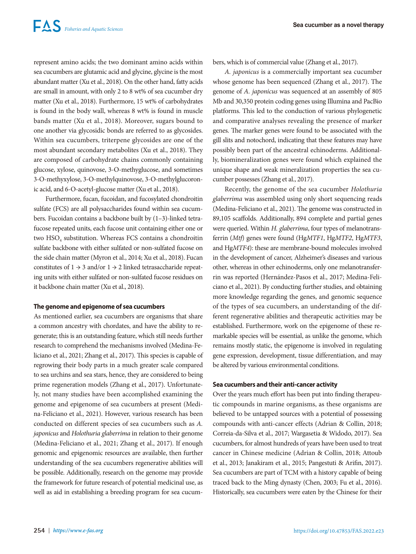represent amino acids; the two dominant amino acids within sea cucumbers are glutamic acid and glycine, glycine is the most abundant matter (Xu et al., 2018). On the other hand, fatty acids are small in amount, with only 2 to 8 wt% of sea cucumber dry matter (Xu et al., 2018). Furthermore, 15 wt% of carbohydrates is found in the body wall, whereas 8 wt% is found in muscle bands matter (Xu et al., 2018). Moreover, sugars bound to one another via glycosidic bonds are referred to as glycosides. Within sea cucumbers, triterpene glycosides are one of the most abundant secondary metabolites (Xu et al., 2018). They are composed of carbohydrate chains commonly containing glucose, xylose, quinovose, 3-O-methyglucose, and sometimes 3-O-methyxylose, 3-O-methylquinovose, 3-O-methylglucoronic acid, and 6-O-acetyl-glucose matter (Xu et al., 2018).

Furthermore, fucan, fucoidan, and fucosylated chondroitin sulfate (FCS) are all polysaccharides found within sea cucumbers. Fucoidan contains a backbone built by (1–3)-linked tetrafucose repeated units, each fucose unit containing either one or two HSO<sub>4</sub> substitution. Whereas FCS contains a chondroitin sulfate backbone with either sulfated or non-sulfated fucose on the side chain matter (Myron et al., 2014; Xu et al., 2018). Fucan constitutes of  $1 \rightarrow 3$  and/or  $1 \rightarrow 2$  linked tetrasaccharide repeating units with either sulfated or non-sulfated fucose residues on it backbone chain matter (Xu et al., 2018).

# **The genome and epigenome of sea cucumbers**

As mentioned earlier, sea cucumbers are organisms that share a common ancestry with chordates, and have the ability to regenerate; this is an outstanding feature, which still needs further research to comprehend the mechanisms involved (Medina-Feliciano et al., 2021; Zhang et al., 2017). This species is capable of regrowing their body parts in a much greater scale compared to sea urchins and sea stars, hence, they are considered to being prime regeneration models (Zhang et al., 2017). Unfortunately, not many studies have been accomplished examining the genome and epigenome of sea cucumbers at present (Medina-Feliciano et al., 2021). However, various research has been conducted on different species of sea cucumbers such as *A. japonicus* and *Holothuria glaberrima* in relation to their genome (Medina-Feliciano et al., 2021; Zhang et al., 2017). If enough genomic and epigenomic resources are available, then further understanding of the sea cucumbers regenerative abilities will be possible. Additionally, research on the genome may provide the framework for future research of potential medicinal use, as well as aid in establishing a breeding program for sea cucumbers, which is of commercial value (Zhang et al., 2017).

*A. japonicus* is a commercially important sea cucumber whose genome has been sequenced (Zhang et al., 2017). The genome of *A. japonicus* was sequenced at an assembly of 805 Mb and 30,350 protein coding genes using Illumina and PacBio platforms. This led to the conduction of various phylogenetic and comparative analyses revealing the presence of marker genes. The marker genes were found to be associated with the gill slits and notochord, indicating that these features may have possibly been part of the ancestral echinoderms. Additionally, biomineralization genes were found which explained the unique shape and weak mineralization properties the sea cucumber possesses (Zhang et al., 2017).

Recently, the genome of the sea cucumber *Holothuria glaberrima* was assembled using only short sequencing reads (Medina-Feliciano et al., 2021). The genome was constructed in 89,105 scaffolds. Additionally, 894 complete and partial genes were queried. Within *H. glaberrima*, four types of melanotransferrin (*Mtf*) genes were found (Hg*MTF1*, Hg*MTF2*, Hg*MTF3*, and Hg*MTF4*): these are membrane-bound molecules involved in the development of cancer, Alzheimer's diseases and various other, whereas in other echinoderms, only one melanotransferrin was reported (Hernández-Pasos et al., 2017; Medina-Feliciano et al., 2021). By conducting further studies, and obtaining more knowledge regarding the genes, and genomic sequence of the types of sea cucumbers, an understanding of the different regenerative abilities and therapeutic activities may be established. Furthermore, work on the epigenome of these remarkable species will be essential, as unlike the genome, which remains mostly static, the epigenome is involved in regulating gene expression, development, tissue differentiation, and may be altered by various environmental conditions.

# **Sea cucumbers and their anti-cancer activity**

Over the years much effort has been put into finding therapeutic compounds in marine organisms, as these organisms are believed to be untapped sources with a potential of possessing compounds with anti-cancer effects (Adrian & Collin, 2018; Correia-da-Silva et al., 2017; Wargasetia & Widodo, 2017). Sea cucumbers, for almost hundreds of years have been used to treat cancer in Chinese medicine (Adrian & Collin, 2018; Attoub et al., 2013; Janakiram et al., 2015; Pangestuti & Arifin, 2017). Sea cucumbers are part of TCM with a history capable of being traced back to the Ming dynasty (Chen, 2003; Fu et al., 2016). Historically, sea cucumbers were eaten by the Chinese for their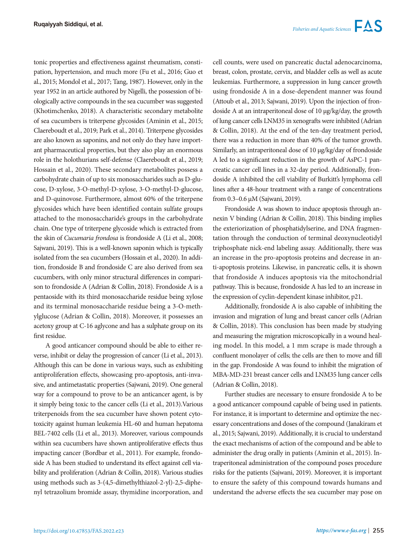tonic properties and effectiveness against rheumatism, constipation, hypertension, and much more (Fu et al., 2016; Guo et al., 2015; Mondol et al., 2017; Tang, 1987). However, only in the year 1952 in an article authored by Nigelli, the possession of biologically active compounds in the sea cucumber was suggested (Khotimchenko, 2018). A characteristic secondary metabolite of sea cucumbers is triterpene glycosides (Aminin et al., 2015; Claereboudt et al., 2019; Park et al., 2014). Triterpene glycosides are also known as saponins, and not only do they have important pharmaceutical properties, but they also play an enormous role in the holothurians self-defense (Claereboudt et al., 2019; Hossain et al., 2020). These secondary metabolites possess a carbohydrate chain of up to six monosaccharides such as D-glucose, D-xylose, 3-O-methyl-D-xylose, 3-O-methyl-D-glucose, and D-quinovose. Furthermore, almost 60% of the triterpene glycosides which have been identified contain sulfate groups attached to the monosaccharide's groups in the carbohydrate chain. One type of triterpene glycoside which is extracted from the skin of *Cucumaria frondosa* is frondoside A (Li et al., 2008; Sajwani, 2019). This is a well-known saponin which is typically isolated from the sea cucumbers (Hossain et al., 2020). In addition, frondoside B and frondoside C are also derived from sea cucumbers, with only minor structural differences in comparison to frondoside A (Adrian & Collin, 2018). Frondoside A is a pentaoside with its third monosaccharide residue being xylose and its terminal monosaccharide residue being a 3-O-methylglucose (Adrian & Collin, 2018). Moreover, it possesses an acetoxy group at C-16 aglycone and has a sulphate group on its first residue.

A good anticancer compound should be able to either reverse, inhibit or delay the progression of cancer (Li et al., 2013). Although this can be done in various ways, such as exhibiting antiproliferation effects, showcasing pro-apoptosis, anti-invasive, and antimetastatic properties (Sajwani, 2019). One general way for a compound to prove to be an anticancer agent, is by it simply being toxic to the cancer cells (Li et al., 2013).Various triterpenoids from the sea cucumber have shown potent cytotoxicity against human leukemia HL-60 and human hepatoma BEL-7402 cells (Li et al., 2013). Moreover, various compounds within sea cucumbers have shown antiproliferative effects thus impacting cancer (Bordbar et al., 2011). For example, frondoside A has been studied to understand its effect against cell viability and proliferation (Adrian & Collin, 2018). Various studies using methods such as 3-(4,5-dimethylthiazol-2-yl)-2,5-diphenyl tetrazolium bromide assay, thymidine incorporation, and cell counts, were used on pancreatic ductal adenocarcinoma, breast, colon, prostate, cervix, and bladder cells as well as acute leukemias. Furthermore, a suppression in lung cancer growth using frondoside A in a dose-dependent manner was found (Attoub et al., 2013; Sajwani, 2019). Upon the injection of frondoside A at an intraperitoneal dose of 10 µg/kg/day, the growth of lung cancer cells LNM35 in xenografts were inhibited (Adrian & Collin, 2018). At the end of the ten-day treatment period, there was a reduction in more than 40% of the tumor growth. Similarly, an intraperitoneal dose of 10 µg/kg/day of frondoside A led to a significant reduction in the growth of AsPC-1 pancreatic cancer cell lines in a 32-day period. Additionally, frondoside A inhibited the cell viability of Burkitt's lymphoma cell lines after a 48-hour treatment with a range of concentrations from 0.3–0.6 µM (Sajwani, 2019).

Frondoside A was shown to induce apoptosis through annexin V binding (Adrian & Collin, 2018). This binding implies the exteriorization of phosphatidylserine, and DNA fragmentation through the conduction of terminal deoxynucleotidyl triphosphate nick-end labeling assay. Additionally, there was an increase in the pro-apoptosis proteins and decrease in anti-apoptosis proteins. Likewise, in pancreatic cells, it is shown that frondoside A induces apoptosis via the mitochondrial pathway. This is because, frondoside A has led to an increase in the expression of cyclin-dependent kinase inhibitor, p21.

Additionally, frondoside A is also capable of inhibiting the invasion and migration of lung and breast cancer cells (Adrian & Collin, 2018). This conclusion has been made by studying and measuring the migration microscopically in a wound healing model. In this model, a 1 mm scrape is made through a confluent monolayer of cells; the cells are then to move and fill in the gap. Frondoside A was found to inhibit the migration of MBA-MD-231 breast cancer cells and LNM35 lung cancer cells (Adrian & Collin, 2018).

Further studies are necessary to ensure frondoside A to be a good anticancer compound capable of being used in patients. For instance, it is important to determine and optimize the necessary concentrations and doses of the compound (Janakiram et al., 2015; Sajwani, 2019). Additionally, it is crucial to understand the exact mechanisms of action of the compound and be able to administer the drug orally in patients (Aminin et al., 2015). Intraperitoneal administration of the compound poses procedure risks for the patients (Sajwani, 2019). Moreover, it is important to ensure the safety of this compound towards humans and understand the adverse effects the sea cucumber may pose on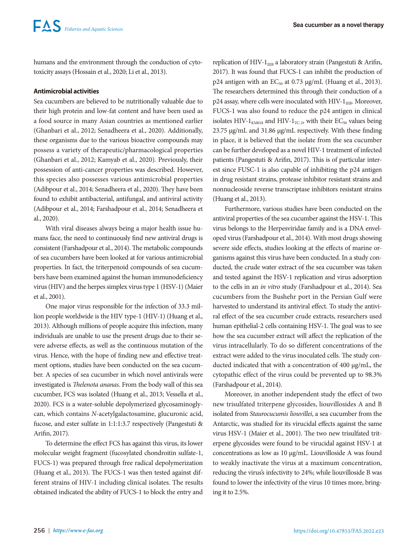humans and the environment through the conduction of cytotoxicity assays (Hossain et al., 2020; Li et al., 2013).

# **Antimicrobial activities**

Sea cucumbers are believed to be nutritionally valuable due to their high protein and low-fat content and have been used as a food source in many Asian countries as mentioned earlier (Ghanbari et al., 2012; Senadheera et al., 2020). Additionally, these organisms due to the various bioactive compounds may possess a variety of therapeutic/pharmacological properties (Ghanbari et al., 2012; Kamyab et al., 2020). Previously, their possession of anti-cancer properties was described. However, this species also possesses various antimicrobial properties (Adibpour et al., 2014; Senadheera et al., 2020). They have been found to exhibit antibacterial, antifungal, and antiviral activity (Adibpour et al., 2014; Farshadpour et al., 2014; Senadheera et al., 2020).

With viral diseases always being a major health issue humans face, the need to continuously find new antiviral drugs is consistent (Farshadpour et al., 2014). The metabolic compounds of sea cucumbers have been looked at for various antimicrobial properties. In fact, the triterpenoid compounds of sea cucumbers have been examined against the human immunodeficiency virus (HIV) and the herpes simplex virus type 1 (HSV-1) (Maier et al., 2001).

One major virus responsible for the infection of 33.3 million people worldwide is the HIV type-1 (HIV-1) (Huang et al., 2013). Although millions of people acquire this infection, many individuals are unable to use the present drugs due to their severe adverse effects, as well as the continuous mutation of the virus. Hence, with the hope of finding new and effective treatment options, studies have been conducted on the sea cucumber. A species of sea cucumber in which novel antivirals were investigated is *Thelenota ananas*. From the body wall of this sea cucumber, FCS was isolated (Huang et al., 2013; Vessella et al., 2020). FCS is a water-soluble depolymerized glycosaminoglycan, which contains *N*-acetylgalactosamine, glucuronic acid, fucose, and ester sulfate in 1:1:1:3.7 respectively (Pangestuti & Arifin, 2017).

To determine the effect FCS has against this virus, its lower molecular weight fragment (fucosylated chondroitin sulfate-1, FUCS-1) was prepared through free radical depolymerization (Huang et al., 2013). The FUCS-1 was then tested against different strains of HIV-1 including clinical isolates. The results obtained indicated the ability of FUCS-1 to block the entry and

replication of HIV- $1_{\text{IIB}}$  a laboratory strain (Pangestuti & Arifin, 2017). It was found that FUCS-1 can inhibit the production of p24 antigen with an  $EC_{50}$  at 0.73  $\mu$ g/mL (Huang et al., 2013). The researchers determined this through their conduction of a  $p24$  assay, where cells were inoculated with HIV- $1_{\text{IIB}}$ . Moreover, FUCS-1 was also found to reduce the p24 antigen in clinical isolates HIV- $1_{KMO18}$  and HIV- $1_{TC-2}$ , with their EC<sub>50</sub> values being 23.75 µg/mL and 31.86 µg/mL respectively. With these finding in place, it is believed that the isolate from the sea cucumber can be further developed as a novel HIV-1 treatment of infected patients (Pangestuti & Arifin, 2017). This is of particular interest since FUSC-1 is also capable of inhibiting the p24 antigen in drug resistant strains, protease inhibitor resistant strains and nonnucleoside reverse transcriptase inhibitors resistant strains (Huang et al., 2013).

Furthermore, various studies have been conducted on the antiviral properties of the sea cucumber against the HSV-1. This virus belongs to the Herpesviridae family and is a DNA enveloped virus (Farshadpour et al., 2014). With most drugs showing severe side effects, studies looking at the effects of marine organisms against this virus have been conducted. In a study conducted, the crude water extract of the sea cucumber was taken and tested against the HSV-1 replication and virus adsorption to the cells in an *in vitro* study (Farshadpour et al., 2014). Sea cucumbers from the Bushehr port in the Persian Gulf were harvested to understand its antiviral effect. To study the antiviral effect of the sea cucumber crude extracts, researchers used human epithelial-2 cells containing HSV-1. The goal was to see how the sea cucumber extract will affect the replication of the virus intracellularly. To do so different concentrations of the extract were added to the virus inoculated cells. The study conducted indicated that with a concentration of 400 µg/mL, the cytopathic effect of the virus could be prevented up to 98.3% (Farshadpour et al., 2014).

Moreover, in another independent study the effect of two new trisulfated triterpene glycosides, liouvillosides A and B isolated from *Staurocucumis liouvillei*, a sea cucumber from the Antarctic, was studied for its virucidal effects against the same virus HSV-1 (Maier et al., 2001). The two new trisulfated triterpene glycosides were found to be virucidal against HSV-1 at concentrations as low as 10 µg/mL. Liouvilloside A was found to weakly inactivate the virus at a maximum concentration, reducing the virus's infectivity to 24%; while liouvilloside B was found to lower the infectivity of the virus 10 times more, bringing it to 2.5%.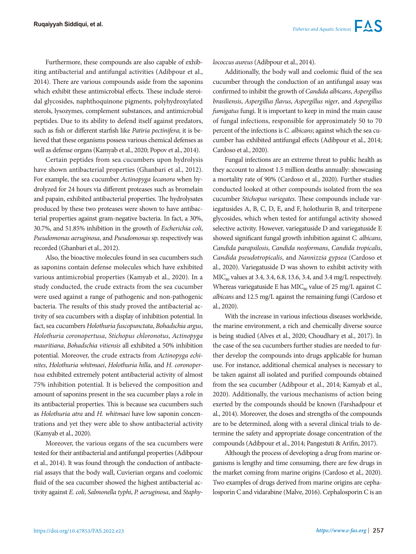Furthermore, these compounds are also capable of exhibiting antibacterial and antifungal activities (Adibpour et al., 2014). There are various compounds aside from the saponins which exhibit these antimicrobial effects. These include steroidal glycosides, naphthoquinone pigments, polyhydroxylated sterols, lysozymes, complement substances, and antimicrobial peptides. Due to its ability to defend itself against predators, such as fish or different starfish like *Patiria pectinifera*; it is believed that these organisms possess various chemical defenses as well as defense organs (Kamyab et al., 2020; Popov et al., 2014).

Certain peptides from sea cucumbers upon hydrolysis have shown antibacterial properties (Ghanbari et al., 2012). For example, the sea cucumber *Actinopyga lecanora* when hydrolyzed for 24 hours via different proteases such as bromelain and papain, exhibited antibacterial properties. The hydrolysates produced by these two proteases were shown to have antibacterial properties against gram-negative bacteria. In fact, a 30%, 30.7%, and 51.85% inhibition in the growth of *Escherichia coli*, *Pseudomonas aeruginosa*, and *Pseudomonas* sp. respectively was recorded (Ghanbari et al., 2012).

Also, the bioactive molecules found in sea cucumbers such as saponins contain defense molecules which have exhibited various antimicrobial properties (Kamyab et al., 2020). In a study conducted, the crude extracts from the sea cucumber were used against a range of pathogenic and non-pathogenic bacteria. The results of this study proved the antibacterial activity of sea cucumbers with a display of inhibition potential. In fact, sea cucumbers *Holothuria fuscopunctata*, *Bohadschia argus*, *Holothuria coronopertusa*, *Stichopus chloronotus*, *Actinopyga mauritiana*, *Bohadschia vitiensis* all exhibited a 50% inhibition potential. Moreover, the crude extracts from *Actinopyga echinites*, *Holothuria whitmaei*, *Holothuria hilla*, and *H. coronopertusa* exhibited extremely potent antibacterial activity of almost 75% inhibition potential. It is believed the composition and amount of saponins present in the sea cucumber plays a role in its antibacterial properties. This is because sea cucumbers such as *Holothuria atra* and *H. whitmaei* have low saponin concentrations and yet they were able to show antibacterial activity (Kamyab et al., 2020).

Moreover, the various organs of the sea cucumbers were tested for their antibacterial and antifungal properties (Adibpour et al., 2014). It was found through the conduction of antibacterial assays that the body wall, Cuvierian organs and coelomic fluid of the sea cucumber showed the highest antibacterial activity against *E. coli*, *Salmonella typhi*, *P. aeruginosa*, and *Staphy-* *lococcus aureus* (Adibpour et al., 2014).

Additionally, the body wall and coelomic fluid of the sea cucumber through the conduction of an antifungal assay was confirmed to inhibit the growth of *Candida albicans*, *Aspergillus brasiliensis*, *Aspergillus flavus*, *Aspergillus niger*, and *Aspergillus fumigatus* fungi. It is important to keep in mind the main cause of fungal infections, responsible for approximately 50 to 70 percent of the infections is *C. albicans*; against which the sea cucumber has exhibited antifungal effects (Adibpour et al., 2014; Cardoso et al., 2020).

Fungal infections are an extreme threat to public health as they account to almost 1.5 million deaths annually: showcasing a mortality rate of 90% (Cardoso et al., 2020). Further studies conducted looked at other compounds isolated from the sea cucumber *Stichopus variegates*. These compounds include variegatusides A, B, C, D, E, and F, holothurin B, and triterpene glycosides, which when tested for antifungal activity showed selective activity. However, variegatuside D and variegatuside E showed significant fungal growth inhibition against *C. albicans*, *Candida parapsilosis*, *Candida neoformans*, *Candida tropicalis*, *Candida pseudotropicalis*, and *Nannizzia gypsea* (Cardoso et al., 2020). Variegatuside D was shown to exhibit activity with  $MIC<sub>80</sub>$  values at 3.4, 3.4, 6.8, 13.6, 3.4, and 3.4 mg/L respectively. Whereas variegatuside E has MIC<sub>80</sub> value of 25 mg/L against *C*. *albicans* and 12.5 mg/L against the remaining fungi (Cardoso et al., 2020).

With the increase in various infectious diseases worldwide, the marine environment, a rich and chemically diverse source is being studied (Alves et al., 2020; Choudhary et al., 2017). In the case of the sea cucumbers further studies are needed to further develop the compounds into drugs applicable for human use. For instance, additional chemical analyses is necessary to be taken against all isolated and purified compounds obtained from the sea cucumber (Adibpour et al., 2014; Kamyab et al., 2020). Additionally, the various mechanisms of action being exerted by the compounds should be known (Farshadpour et al., 2014). Moreover, the doses and strengths of the compounds are to be determined, along with a several clinical trials to determine the safety and appropriate dosage concentration of the compounds (Adibpour et al., 2014; Pangestuti & Arifin, 2017).

Although the process of developing a drug from marine organisms is lengthy and time consuming, there are few drugs in the market coming from marine origins (Cardoso et al., 2020). Two examples of drugs derived from marine origins are cephalosporin C and vidarabine (Malve, 2016). Cephalosporin C is an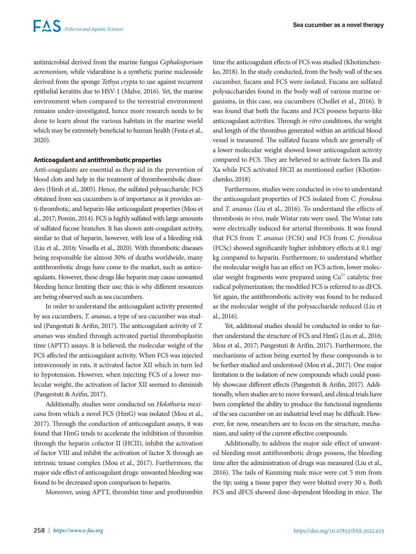antimicrobial derived from the marine fungus *Cephalosporium acremonium*, while vidarabine is a synthetic purine nucleoside derived from the sponge *Tethya crypta* to use against recurrent epithelial keratitis due to HSV-1 (Malve, 2016). Yet, the marine environment when compared to the terrestrial environment remains under-investigated, hence more research needs to be done to learn about the various habitats in the marine world which may be extremely beneficial to human health (Festa et al., 2020).

# **Anticoagulant and antithrombotic properties**

Anti-coagulants are essential as they aid in the prevention of blood clots and help in the treatment of thromboembolic disorders (Hirsh et al., 2005). Hence, the sulfated polysaccharide: FCS obtained from sea cucumbers is of importance as it provides anti-thrombotic, and heparin-like anticoagulant properties (Mou et al., 2017; Pomin, 2014). FCS is highly sulfated with large amounts of sulfated fucose branches. It has shown anti-coagulant activity, similar to that of heparin, however, with less of a bleeding risk (Liu et al., 2016; Vessella et al., 2020). With thrombotic diseases being responsible for almost 30% of deaths worldwide, many antithrombotic drugs have come to the market, such as anticoagulants. However, these drugs like heparin may cause unwanted bleeding hence limiting their use; this is why different resources are being observed such as sea cucumbers.

In order to understand the anticoagulant activity presented by sea cucumbers, *T. ananas*, a type of sea cucumber was studied (Pangestuti & Arifin, 2017). The anticoagulant activity of *T. ananas* was studied through activated partial thromboplastin time (APTT) assays. It is believed, the molecular weight of the FCS affected the anticoagulant activity. When FCS was injected intravenously in rats, it activated factor XII which in turn led to hypotension. However, when injecting FCS of a lower molecular weight, the activation of factor XII seemed to diminish (Pangestuti & Arifin, 2017).

Additionally, studies were conducted on *Holothuria mexicana* from which a novel FCS (HmG) was isolated (Mou et al., 2017). Through the conduction of anticoagulant assays, it was found that HmG tends to accelerate the inhibition of thrombin through the heparin cofactor II (HCII), inhibit the activation of factor VIII and inhibit the activation of factor X through an intrinsic tenase complex (Mou et al., 2017). Furthermore, the major side effect of anticoagulant drugs: unwanted bleeding was found to be decreased upon comparison to heparin.

Moreover, using APTT, thrombin time and prothrombin

time the anticoagulant effects of FCS was studied (Khotimchenko, 2018). In the study conducted, from the body wall of the sea cucumber, fucans and FCS were isolated. Fucans are sulfated polysaccharides found in the body wall of various marine organisms, in this case, sea cucumbers (Chollet et al., 2016). It was found that both the fucans and FCS possess heparin-like anticoagulant activities. Through *in vitro* conditions, the weight and length of the thrombus generated within an artificial blood vessel is measured. The sulfated fucans which are generally of a lower molecular weight showed lower anticoagulant activity compared to FCS. They are believed to activate factors IIa and Xa while FCS activated HCII as mentioned earlier (Khotimchenko, 2018).

Furthermore, studies were conducted *in vivo* to understand the anticoagulant properties of FCS isolated from *C. frondosa* and *T. ananas* (Liu et al., 2016). To understand the effects of thrombosis *in vivo*, male Wistar rats were used. The Wistar rats were electrically induced for arterial thrombosis. It was found that FCS from *T. ananas* (FCSt) and FCS from *C. frondosa* (FCSc) showed significantly higher inhibitory effects at 0.1 mg/ kg compared to heparin. Furthermore, to understand whether the molecular weight has an effect on FCS action, lower molecular weight fragments were prepared using  $Cu<sup>2+</sup>$  catalytic free radical polymerization; the modified FCS is referred to as dFCS. Yet again, the antithrombotic activity was found to be reduced as the molecular weight of the polysaccharide reduced (Liu et al., 2016).

Yet, additional studies should be conducted in order to further understand the structure of FCS and HmG (Liu et al., 2016; Mou et al., 2017; Pangestuti & Arifin, 2017). Furthermore, the mechanisms of action being exerted by these compounds is to be further studied and understood (Mou et al., 2017). One major limitation is the isolation of new compounds which could possibly showcase different effects (Pangestuti & Arifin, 2017). Additionally, when studies are to move forward, and clinical trials have been completed the ability to produce the functional ingredients of the sea cucumber on an industrial level may be difficult. However, for now, researchers are to focus on the structure, mechanism, and safety of the current effective compounds.

Additionally, to address the major side effect of unwanted bleeding most antithrombotic drugs possess, the bleeding time after the administration of drugs was measured (Liu et al., 2016). The tails of Kunming male mice were cut 5 mm from the tip; using a tissue paper they were blotted every 30 s. Both FCS and dFCS showed dose-dependent bleeding in mice. The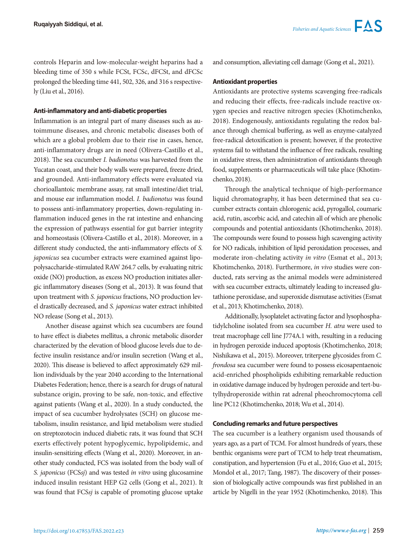controls Heparin and low-molecular-weight heparins had a bleeding time of 350 s while FCSt, FCSc, dFCSt, and dFCSc prolonged the bleeding time 441, 502, 326, and 316 s respectively (Liu et al., 2016).

#### **Anti-inflammatory and anti-diabetic properties**

Inflammation is an integral part of many diseases such as autoimmune diseases, and chronic metabolic diseases both of which are a global problem due to their rise in cases, hence, anti-inflammatory drugs are in need (Olivera-Castillo et al., 2018). The sea cucumber *I. badionotus* was harvested from the Yucatan coast, and their body walls were prepared, freeze dried, and grounded. Anti-inflammatory effects were evaluated via chorioallantoic membrane assay, rat small intestine/diet trial, and mouse ear inflammation model. *I. badionotus* was found to possess anti-inflammatory properties, down-regulating inflammation induced genes in the rat intestine and enhancing the expression of pathways essential for gut barrier integrity and homeostasis (Olivera-Castillo et al., 2018). Moreover, in a different study conducted, the anti-inflammatory effects of *S. japonicus* sea cucumber extracts were examined against lipopolysaccharide-stimulated RAW 264.7 cells, by evaluating nitric oxide (NO) production, as excess NO production initiates allergic inflammatory diseases (Song et al., 2013). It was found that upon treatment with *S. japonicus* fractions, NO production level drastically decreased, and *S. japonicus* water extract inhibited NO release (Song et al., 2013).

Another disease against which sea cucumbers are found to have effect is diabetes mellitus, a chronic metabolic disorder characterized by the elevation of blood glucose levels due to defective insulin resistance and/or insulin secretion (Wang et al., 2020). This disease is believed to affect approximately 629 million individuals by the year 2040 according to the International Diabetes Federation; hence, there is a search for drugs of natural substance origin, proving to be safe, non-toxic, and effective against patients (Wang et al., 2020). In a study conducted, the impact of sea cucumber hydrolysates (SCH) on glucose metabolism, insulin resistance, and lipid metabolism were studied on streptozotocin induced diabetic rats, it was found that SCH exerts effectively potent hypoglycemic, hypolipidemic, and insulin-sensitizing effects (Wang et al., 2020). Moreover, in another study conducted, FCS was isolated from the body wall of *S. japonicus* (FCS*sj*) and was tested *in vitro* using glucosamine induced insulin resistant HEP G2 cells (Gong et al., 2021). It was found that FCS*sj* is capable of promoting glucose uptake and consumption, alleviating cell damage (Gong et al., 2021).

# **Antioxidant properties**

Antioxidants are protective systems scavenging free-radicals and reducing their effects, free-radicals include reactive oxygen species and reactive nitrogen species (Khotimchenko, 2018). Endogenously, antioxidants regulating the redox balance through chemical buffering, as well as enzyme-catalyzed free-radical detoxification is present; however, if the protective systems fail to withstand the influence of free radicals, resulting in oxidative stress, then administration of antioxidants through food, supplements or pharmaceuticals will take place (Khotimchenko, 2018).

Through the analytical technique of high-performance liquid chromatography, it has been determined that sea cucumber extracts contain chlorogenic acid, pyrogallol, coumaric acid, rutin, ascorbic acid, and catechin all of which are phenolic compounds and potential antioxidants (Khotimchenko, 2018). The compounds were found to possess high scavenging activity for NO radicals, inhibition of lipid peroxidation processes, and moderate iron-chelating activity *in vitro* (Esmat et al., 2013; Khotimchenko, 2018). Furthermore, *in vivo* studies were conducted, rats serving as the animal models were administered with sea cucumber extracts, ultimately leading to increased glutathione peroxidase, and superoxide dismutase activities (Esmat et al., 2013; Khotimchenko, 2018).

Additionally, lysoplatelet activating factor and lysophosphatidylcholine isolated from sea cucumber *H. atra* were used to treat macrophage cell line J774A.1 with, resulting in a reducing in hydrogen peroxide induced apoptosis (Khotimchenko, 2018; Nishikawa et al., 2015). Moreover, triterpene glycosides from *C. frondosa* sea cucumber were found to possess eicosapentaenoic acid-enriched phospholipids exhibiting remarkable reduction in oxidative damage induced by hydrogen peroxide and tert-butylhydroperoxide within rat adrenal pheochromocytoma cell line PC12 (Khotimchenko, 2018; Wu et al., 2014).

#### **Concluding remarks and future perspectives**

The sea cucumber is a leathery organism used thousands of years ago, as a part of TCM. For almost hundreds of years, these benthic organisms were part of TCM to help treat rheumatism, constipation, and hypertension (Fu et al., 2016; Guo et al., 2015; Mondol et al., 2017; Tang, 1987). The discovery of their possession of biologically active compounds was first published in an article by Nigelli in the year 1952 (Khotimchenko, 2018). This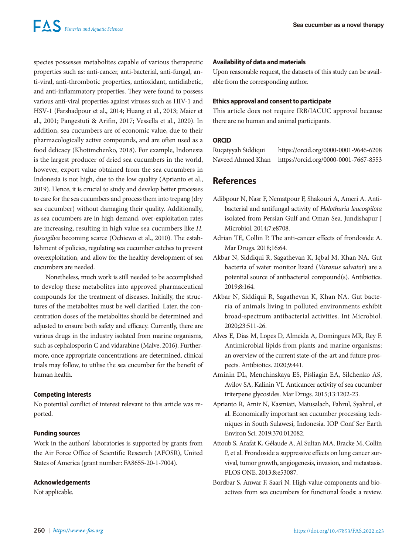species possesses metabolites capable of various therapeutic properties such as: anti-cancer, anti-bacterial, anti-fungal, anti-viral, anti-thrombotic properties, antioxidant, antidiabetic, and anti-inflammatory properties. They were found to possess various anti-viral properties against viruses such as HIV-1 and HSV-1 (Farshadpour et al., 2014; Huang et al., 2013; Maier et al., 2001; Pangestuti & Arifin, 2017; Vessella et al., 2020). In addition, sea cucumbers are of economic value, due to their pharmacologically active compounds, and are often used as a food delicacy (Khotimchenko, 2018). For example, Indonesia is the largest producer of dried sea cucumbers in the world, however, export value obtained from the sea cucumbers in Indonesia is not high, due to the low quality (Aprianto et al., 2019). Hence, it is crucial to study and develop better processes to care for the sea cucumbers and process them into trepang (dry sea cucumber) without damaging their quality. Additionally, as sea cucumbers are in high demand, over-exploitation rates are increasing, resulting in high value sea cucumbers like *H. fuscogilva* becoming scarce (Ochiewo et al., 2010). The establishment of policies, regulating sea cucumber catches to prevent overexploitation, and allow for the healthy development of sea cucumbers are needed.

Nonetheless, much work is still needed to be accomplished to develop these metabolites into approved pharmaceutical compounds for the treatment of diseases. Initially, the structures of the metabolites must be well clarified. Later, the concentration doses of the metabolites should be determined and adjusted to ensure both safety and efficacy. Currently, there are various drugs in the industry isolated from marine organisms, such as cephalosporin C and vidarabine (Malve, 2016). Furthermore, once appropriate concentrations are determined, clinical trials may follow, to utilise the sea cucumber for the benefit of human health.

# **Competing interests**

No potential conflict of interest relevant to this article was reported.

# **Funding sources**

Work in the authors' laboratories is supported by grants from the Air Force Office of Scientific Research (AFOSR), United States of America (grant number: FA8655-20-1-7004).

# **Acknowledgements**

Not applicable.

#### **Availability of data and materials**

Upon reasonable request, the datasets of this study can be available from the corresponding author.

#### **Ethics approval and consent to participate**

This article does not require IRB/IACUC approval because there are no human and animal participants.

# **ORCID**

Ruqaiyyah Siddiqui https://orcid.org/0000-0001-9646-6208 Naveed Ahmed Khan https://orcid.org/0000-0001-7667-8553

# **References**

- Adibpour N, Nasr F, Nematpour F, Shakouri A, Ameri A. Antibacterial and antifungal activity of *Holothuria leucospilota* isolated from Persian Gulf and Oman Sea. Jundishapur J Microbiol. 2014;7:e8708.
- Adrian TE, Collin P. The anti-cancer effects of frondoside A. Mar Drugs. 2018;16:64.
- Akbar N, Siddiqui R, Sagathevan K, Iqbal M, Khan NA. Gut bacteria of water monitor lizard (*Varanus salvator*) are a potential source of antibacterial compound(s). Antibiotics. 2019;8:164.
- Akbar N, Siddiqui R, Sagathevan K, Khan NA. Gut bacteria of animals living in polluted environments exhibit broad-spectrum antibacterial activities. Int Microbiol. 2020;23:511-26.
- Alves E, Dias M, Lopes D, Almeida A, Domingues MR, Rey F. Antimicrobial lipids from plants and marine organisms: an overview of the current state-of-the-art and future prospects. Antibiotics. 2020;9:441.
- Aminin DL, Menchinskaya ES, Pisliagin EA, Silchenko AS, Avilov SA, Kalinin VI. Anticancer activity of sea cucumber triterpene glycosides. Mar Drugs. 2015;13:1202-23.
- Aprianto R, Amir N, Kasmiati, Matusalach, Fahrul, Syahrul, et al. Economically important sea cucumber processing techniques in South Sulawesi, Indonesia. IOP Conf Ser Earth Environ Sci. 2019;370:012082.
- Attoub S, Arafat K, Gélaude A, Al Sultan MA, Bracke M, Collin P, et al. Frondoside a suppressive effects on lung cancer survival, tumor growth, angiogenesis, invasion, and metastasis. PLOS ONE. 2013;8:e53087.
- Bordbar S, Anwar F, Saari N. High-value components and bioactives from sea cucumbers for functional foods: a review.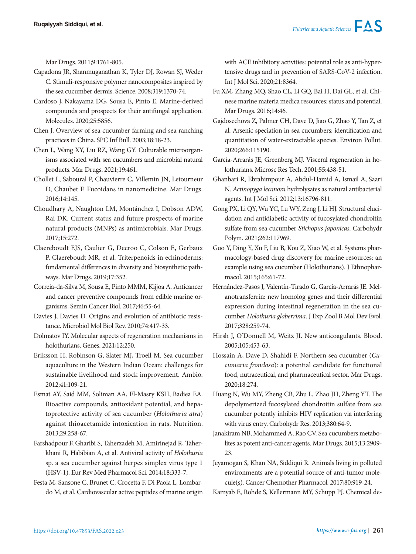Mar Drugs. 2011;9:1761-805.

- Capadona JR, Shanmuganathan K, Tyler DJ, Rowan SJ, Weder C. Stimuli-responsive polymer nanocomposites inspired by the sea cucumber dermis. Science. 2008;319:1370-74.
- Cardoso J, Nakayama DG, Sousa E, Pinto E. Marine-derived compounds and prospects for their antifungal application. Molecules. 2020;25:5856.
- Chen J. Overview of sea cucumber farming and sea ranching practices in China. SPC Inf Bull. 2003;18:18-23.
- Chen L, Wang XY, Liu RZ, Wang GY. Culturable microorganisms associated with sea cucumbers and microbial natural products. Mar Drugs. 2021;19:461.
- Chollet L, Saboural P, Chauvierre C, Villemin JN, Letourneur D, Chaubet F. Fucoidans in nanomedicine. Mar Drugs. 2016;14:145.
- Choudhary A, Naughton LM, Montánchez I, Dobson ADW, Rai DK. Current status and future prospects of marine natural products (MNPs) as antimicrobials. Mar Drugs. 2017;15:272.
- Claereboudt EJS, Caulier G, Decroo C, Colson E, Gerbaux P, Claereboudt MR, et al. Triterpenoids in echinoderms: fundamental differences in diversity and biosynthetic pathways. Mar Drugs. 2019;17:352.
- Correia-da-Silva M, Sousa E, Pinto MMM, Kijjoa A. Anticancer and cancer preventive compounds from edible marine organisms. Semin Cancer Biol. 2017;46:55-64.
- Davies J, Davies D. Origins and evolution of antibiotic resistance. Microbiol Mol Biol Rev. 2010;74:417-33.
- Dolmatov IY. Molecular aspects of regeneration mechanisms in holothurians. Genes. 2021;12:250.
- Eriksson H, Robinson G, Slater MJ, Troell M. Sea cucumber aquaculture in the Western Indian Ocean: challenges for sustainable livelihood and stock improvement. Ambio. 2012;41:109-21.
- Esmat AY, Said MM, Soliman AA, El-Masry KSH, Badiea EA. Bioactive compounds, antioxidant potential, and hepatoprotective activity of sea cucumber (*Holothuria atra*) against thioacetamide intoxication in rats. Nutrition. 2013;29:258-67.
- Farshadpour F, Gharibi S, Taherzadeh M, Amirinejad R, Taherkhani R, Habibian A, et al. Antiviral activity of *Holothuria* sp. a sea cucumber against herpes simplex virus type 1 (HSV-1). Eur Rev Med Pharmacol Sci. 2014;18:333-7.
- Festa M, Sansone C, Brunet C, Crocetta F, Di Paola L, Lombardo M, et al. Cardiovascular active peptides of marine origin

with ACE inhibitory activities: potential role as anti-hypertensive drugs and in prevention of SARS-CoV-2 infection. Int J Mol Sci. 2020;21:8364.

- Fu XM, Zhang MQ, Shao CL, Li GQ, Bai H, Dai GL, et al. Chinese marine materia medica resources: status and potential. Mar Drugs. 2016;14:46.
- Gajdosechova Z, Palmer CH, Dave D, Jiao G, Zhao Y, Tan Z, et al. Arsenic speciation in sea cucumbers: identification and quantitation of water-extractable species. Environ Pollut. 2020;266:115190.

García-Arrarás JE, Greenberg MJ. Visceral regeneration in holothurians. Microsc Res Tech. 2001;55:438-51.

- Ghanbari R, Ebrahimpour A, Abdul-Hamid A, Ismail A, Saari N. *Actinopyga lecanora* hydrolysates as natural antibacterial agents. Int J Mol Sci. 2012;13:16796-811.
- Gong PX, Li QY, Wu YC, Lu WY, Zeng J, Li HJ. Structural elucidation and antidiabetic activity of fucosylated chondroitin sulfate from sea cucumber *Stichopus japonicas*. Carbohydr Polym. 2021;262:117969.
- Guo Y, Ding Y, Xu F, Liu B, Kou Z, Xiao W, et al. Systems pharmacology-based drug discovery for marine resources: an example using sea cucumber (Holothurians). J Ethnopharmacol. 2015;165:61-72.
- Hernández-Pasos J, Valentín-Tirado G, García-Arrarás JE. Melanotransferrin: new homolog genes and their differential expression during intestinal regeneration in the sea cucumber *Holothuria glaberrima*. J Exp Zool B Mol Dev Evol. 2017;328:259-74.
- Hirsh J, O'Donnell M, Weitz JI. New anticoagulants. Blood. 2005;105:453-63.
- Hossain A, Dave D, Shahidi F. Northern sea cucumber (*Cucumaria frondosa*): a potential candidate for functional food, nutraceutical, and pharmaceutical sector. Mar Drugs. 2020;18:274.
- Huang N, Wu MY, Zheng CB, Zhu L, Zhao JH, Zheng YT. The depolymerized fucosylated chondroitin sulfate from sea cucumber potently inhibits HIV replication via interfering with virus entry. Carbohydr Res. 2013;380:64-9.
- Janakiram NB, Mohammed A, Rao CV. Sea cucumbers metabolites as potent anti-cancer agents. Mar Drugs. 2015;13:2909- 23.
- Jeyamogan S, Khan NA, Siddiqui R. Animals living in polluted environments are a potential source of anti-tumor molecule(s). Cancer Chemother Pharmacol. 2017;80:919-24.
- Kamyab E, Rohde S, Kellermann MY, Schupp PJ. Chemical de-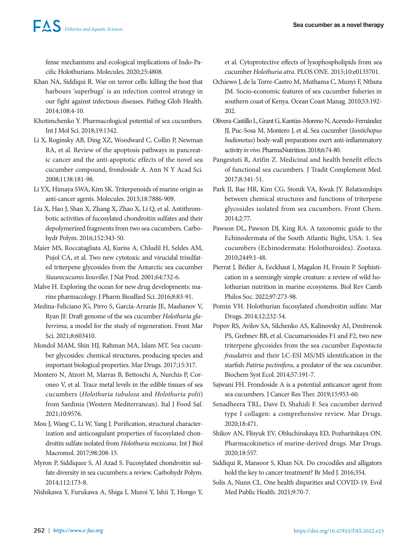fense mechanisms and ecological implications of Indo-Pacific Holothurians. Molecules. 2020;25:4808.

- Khan NA, Siddiqui R. War on terror cells: killing the host that harbours 'superbugs' is an infection control strategy in our fight against infectious diseases. Pathog Glob Health. 2014;108:4-10.
- Khotimchenko Y. Pharmacological potential of sea cucumbers. Int J Mol Sci. 2018;19:1342.
- Li X, Roginsky AB, Ding XZ, Woodward C, Collin P, Newman RA, et al. Review of the apoptosis pathways in pancreatic cancer and the anti-apoptotic effects of the novel sea cucumber compound, frondoside A. Ann N Y Acad Sci. 2008;1138:181-98.
- Li YX, Himaya SWA, Kim SK. Triterpenoids of marine origin as anti-cancer agents. Molecules. 2013;18:7886-909.
- Liu X, Hao J, Shan X, Zhang X, Zhao X, Li Q, et al. Antithrombotic activities of fucosylated chondroitin sulfates and their depolymerized fragments from two sea cucumbers. Carbohydr Polym. 2016;152:343-50.
- Maier MS, Roccatagliata AJ, Kuriss A, Chludil H, Seldes AM, Pujol CA, et al. Two new cytotoxic and virucidal trisulfated triterpene glycosides from the Antarctic sea cucumber *Staurocucumis liouvillei*. J Nat Prod. 2001;64:732-6.
- Malve H. Exploring the ocean for new drug developments: marine pharmacology. J Pharm Bioallied Sci. 2016;8:83-91.
- Medina-Feliciano JG, Pirro S, García-Arrarás JE, Mashanov V, Ryan JF. Draft genome of the sea cucumber *Holothuria glaberrima*, a model for the study of regeneration. Front Mar Sci. 2021;8:603410.
- Mondol MAM, Shin HJ, Rahman MA, Islam MT. Sea cucumber glycosides: chemical structures, producing species and important biological properties. Mar Drugs. 2017;15:317.
- Montero N, Atzori M, Marras B, Bettoschi A, Nurchis P, Coroneo V, et al. Trace metal levels in the edible tissues of sea cucumbers (*Holothuria tubulosa* and *Holothuria polii*) from Sardinia (Western Mediterranean). Ital J Food Saf. 2021;10:9576.
- Mou J, Wang C, Li W, Yang J. Purification, structural characterization and anticoagulant properties of fucosylated chondroitin sulfate isolated from *Holothuria mexicana*. Int J Biol Macromol. 2017;98:208-15.
- Myron P, Siddiquee S, Al Azad S. Fucosylated chondroitin sulfate diversity in sea cucumbers: a review. Carbohydr Polym. 2014;112:173-8.
- Nishikawa Y, Furukawa A, Shiga I, Muroi Y, Ishii T, Hongo Y,

et al. Cytoprotective effects of lysophospholipids from sea cucumber *Holothuria atra*. PLOS ONE. 2015;10:e0135701.

- Ochiewo J, de la Torre-Castro M, Muthama C, Munyi F, Nthuta JM. Socio-economic features of sea cucumber fisheries in southern coast of Kenya. Ocean Coast Manag. 2010;53:192- 202.
- Olivera-Castillo L, Grant G, Kantún-Moreno N, Acevedo-Fernández JJ, Puc-Sosa M, Montero J, et al. Sea cucumber (*Isostichopus badionotus*) body-wall preparations exert anti-inflammatory activity *in vivo*. PharmaNutrition. 2018;6:74-80.
- Pangestuti R, Arifin Z. Medicinal and health benefit effects of functional sea cucumbers. J Tradit Complement Med. 2017;8:341-51.
- Park JI, Bae HR, Kim CG, Stonik VA, Kwak JY. Relationships between chemical structures and functions of triterpene glycosides isolated from sea cucumbers. Front Chem. 2014;2:77.
- Pawson DL, Pawson DJ, King RA. A taxonomic guide to the Echinodermata of the South Atlantic Bight, USA: 1. Sea cucumbers (Echinodermata: Holothuroidea). Zootaxa. 2010;2449:1-48.
- Pierrat J, Bédier A, Eeckhaut I, Magalon H, Frouin P. Sophistication in a seemingly simple creature: a review of wild holothurian nutrition in marine ecosystems. Biol Rev Camb Philos Soc. 2022;97:273-98.
- Pomin VH. Holothurian fucosylated chondroitin sulfate. Mar Drugs. 2014;12:232-54.
- Popov RS, Avilov SA, Silchenko AS, Kalinovsky AI, Dmitrenok PS, Grebnev BB, et al. Cucumariosides F1 and F2, two new triterpene glycosides from the sea cucumber *Eupentacta fraudatrix* and their LC-ESI MS/MS identification in the starfish *Patiria pectinifera*, a predator of the sea cucumber. Biochem Syst Ecol. 2014;57:191-7.
- Sajwani FH. Frondoside A is a potential anticancer agent from sea cucumbers. J Cancer Res Ther. 2019;15:953-60.
- Senadheera TRL, Dave D, Shahidi F. Sea cucumber derived type I collagen: a comprehensive review. Mar Drugs. 2020;18:471.
- Shikov AN, Flisyuk EV, Obluchinskaya ED, Pozharitskaya ON. Pharmacokinetics of marine-derived drugs. Mar Drugs. 2020;18:557.
- Siddiqui R, Mansoor S, Khan NA. Do crocodiles and alligators hold the key to cancer treatment? Br Med J. 2016;354.
- Solis A, Nunn CL. One health disparities and COVID-19. Evol Med Public Health. 2021;9:70-7.